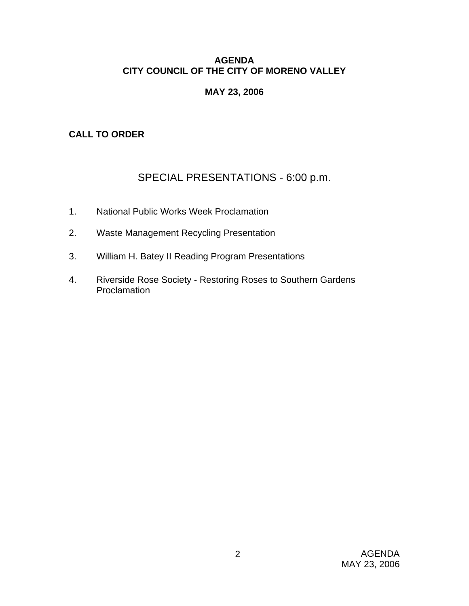### **AGENDA CITY COUNCIL OF THE CITY OF MORENO VALLEY**

### **MAY 23, 2006**

### **CALL TO ORDER**

# SPECIAL PRESENTATIONS - 6:00 p.m.

- 1. National Public Works Week Proclamation
- 2. Waste Management Recycling Presentation
- 3. William H. Batey II Reading Program Presentations
- 4. Riverside Rose Society Restoring Roses to Southern Gardens Proclamation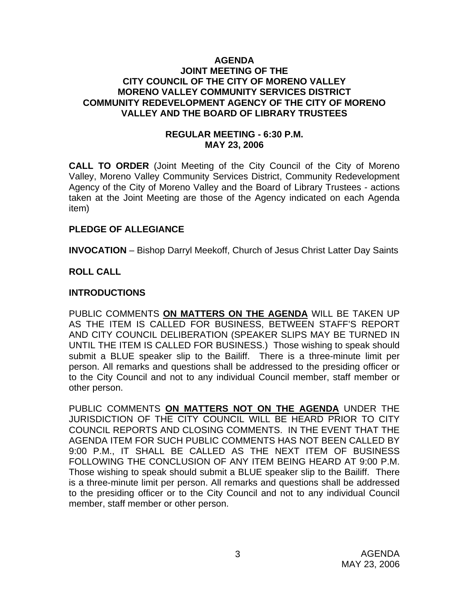#### **AGENDA JOINT MEETING OF THE CITY COUNCIL OF THE CITY OF MORENO VALLEY MORENO VALLEY COMMUNITY SERVICES DISTRICT COMMUNITY REDEVELOPMENT AGENCY OF THE CITY OF MORENO VALLEY AND THE BOARD OF LIBRARY TRUSTEES**

### **REGULAR MEETING - 6:30 P.M. MAY 23, 2006**

**CALL TO ORDER** (Joint Meeting of the City Council of the City of Moreno Valley, Moreno Valley Community Services District, Community Redevelopment Agency of the City of Moreno Valley and the Board of Library Trustees - actions taken at the Joint Meeting are those of the Agency indicated on each Agenda item)

#### **PLEDGE OF ALLEGIANCE**

**INVOCATION** – Bishop Darryl Meekoff, Church of Jesus Christ Latter Day Saints

### **ROLL CALL**

### **INTRODUCTIONS**

PUBLIC COMMENTS **ON MATTERS ON THE AGENDA** WILL BE TAKEN UP AS THE ITEM IS CALLED FOR BUSINESS, BETWEEN STAFF'S REPORT AND CITY COUNCIL DELIBERATION (SPEAKER SLIPS MAY BE TURNED IN UNTIL THE ITEM IS CALLED FOR BUSINESS.) Those wishing to speak should submit a BLUE speaker slip to the Bailiff. There is a three-minute limit per person. All remarks and questions shall be addressed to the presiding officer or to the City Council and not to any individual Council member, staff member or other person.

PUBLIC COMMENTS **ON MATTERS NOT ON THE AGENDA** UNDER THE JURISDICTION OF THE CITY COUNCIL WILL BE HEARD PRIOR TO CITY COUNCIL REPORTS AND CLOSING COMMENTS. IN THE EVENT THAT THE AGENDA ITEM FOR SUCH PUBLIC COMMENTS HAS NOT BEEN CALLED BY 9:00 P.M., IT SHALL BE CALLED AS THE NEXT ITEM OF BUSINESS FOLLOWING THE CONCLUSION OF ANY ITEM BEING HEARD AT 9:00 P.M. Those wishing to speak should submit a BLUE speaker slip to the Bailiff. There is a three-minute limit per person. All remarks and questions shall be addressed to the presiding officer or to the City Council and not to any individual Council member, staff member or other person.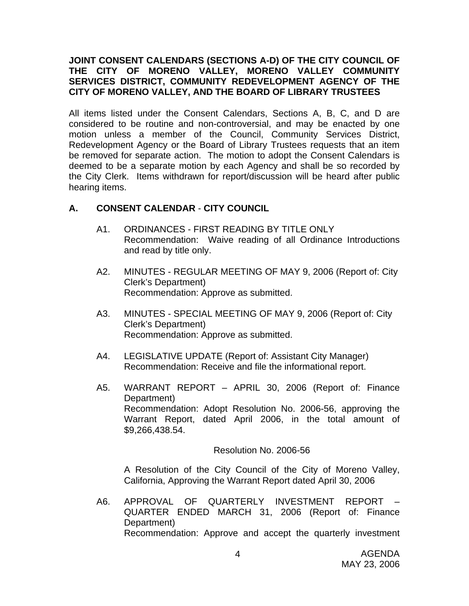### **JOINT CONSENT CALENDARS (SECTIONS A-D) OF THE CITY COUNCIL OF THE CITY OF MORENO VALLEY, MORENO VALLEY COMMUNITY SERVICES DISTRICT, COMMUNITY REDEVELOPMENT AGENCY OF THE CITY OF MORENO VALLEY, AND THE BOARD OF LIBRARY TRUSTEES**

All items listed under the Consent Calendars, Sections A, B, C, and D are considered to be routine and non-controversial, and may be enacted by one motion unless a member of the Council, Community Services District, Redevelopment Agency or the Board of Library Trustees requests that an item be removed for separate action. The motion to adopt the Consent Calendars is deemed to be a separate motion by each Agency and shall be so recorded by the City Clerk. Items withdrawn for report/discussion will be heard after public hearing items.

### **A. CONSENT CALENDAR** - **CITY COUNCIL**

- A1. ORDINANCES FIRST READING BY TITLE ONLY Recommendation: Waive reading of all Ordinance Introductions and read by title only.
- A2. MINUTES REGULAR MEETING OF MAY 9, 2006 (Report of: City Clerk's Department) Recommendation: Approve as submitted.
- A3. MINUTES SPECIAL MEETING OF MAY 9, 2006 (Report of: City Clerk's Department) Recommendation: Approve as submitted.
- A4. LEGISLATIVE UPDATE (Report of: Assistant City Manager) Recommendation: Receive and file the informational report.
- A5. WARRANT REPORT APRIL 30, 2006 (Report of: Finance Department) Recommendation: Adopt Resolution No. 2006-56, approving the Warrant Report, dated April 2006, in the total amount of \$9,266,438.54.

Resolution No. 2006-56

A Resolution of the City Council of the City of Moreno Valley, California, Approving the Warrant Report dated April 30, 2006

A6. APPROVAL OF QUARTERLY INVESTMENT REPORT – QUARTER ENDED MARCH 31, 2006 (Report of: Finance Department) Recommendation: Approve and accept the quarterly investment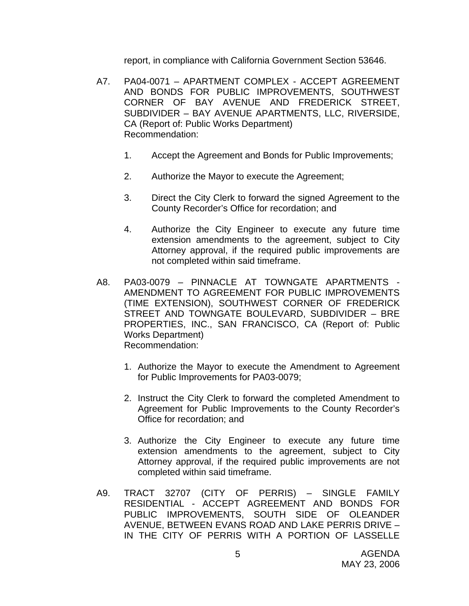report, in compliance with California Government Section 53646.

- A7. PA04-0071 APARTMENT COMPLEX ACCEPT AGREEMENT AND BONDS FOR PUBLIC IMPROVEMENTS, SOUTHWEST CORNER OF BAY AVENUE AND FREDERICK STREET, SUBDIVIDER – BAY AVENUE APARTMENTS, LLC, RIVERSIDE, CA (Report of: Public Works Department) Recommendation:
	- 1. Accept the Agreement and Bonds for Public Improvements;
	- 2. Authorize the Mayor to execute the Agreement;
	- 3. Direct the City Clerk to forward the signed Agreement to the County Recorder's Office for recordation; and
	- 4. Authorize the City Engineer to execute any future time extension amendments to the agreement, subject to City Attorney approval, if the required public improvements are not completed within said timeframe.
- A8. PA03-0079 PINNACLE AT TOWNGATE APARTMENTS AMENDMENT TO AGREEMENT FOR PUBLIC IMPROVEMENTS (TIME EXTENSION), SOUTHWEST CORNER OF FREDERICK STREET AND TOWNGATE BOULEVARD, SUBDIVIDER – BRE PROPERTIES, INC., SAN FRANCISCO, CA (Report of: Public Works Department) Recommendation:
	- 1. Authorize the Mayor to execute the Amendment to Agreement for Public Improvements for PA03-0079;
	- 2. Instruct the City Clerk to forward the completed Amendment to Agreement for Public Improvements to the County Recorder's Office for recordation; and
	- 3. Authorize the City Engineer to execute any future time extension amendments to the agreement, subject to City Attorney approval, if the required public improvements are not completed within said timeframe.
- A9. TRACT 32707 (CITY OF PERRIS) SINGLE FAMILY RESIDENTIAL - ACCEPT AGREEMENT AND BONDS FOR PUBLIC IMPROVEMENTS, SOUTH SIDE OF OLEANDER AVENUE, BETWEEN EVANS ROAD AND LAKE PERRIS DRIVE – IN THE CITY OF PERRIS WITH A PORTION OF LASSELLE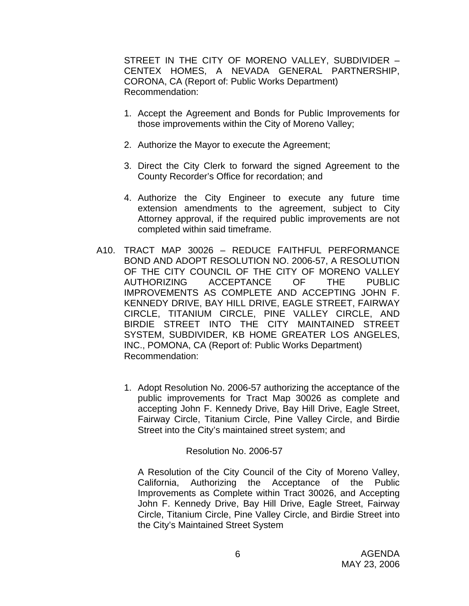STREET IN THE CITY OF MORENO VALLEY, SUBDIVIDER – CENTEX HOMES, A NEVADA GENERAL PARTNERSHIP, CORONA, CA (Report of: Public Works Department) Recommendation:

- 1. Accept the Agreement and Bonds for Public Improvements for those improvements within the City of Moreno Valley;
- 2. Authorize the Mayor to execute the Agreement;
- 3. Direct the City Clerk to forward the signed Agreement to the County Recorder's Office for recordation; and
- 4. Authorize the City Engineer to execute any future time extension amendments to the agreement, subject to City Attorney approval, if the required public improvements are not completed within said timeframe.
- A10. TRACT MAP 30026 REDUCE FAITHFUL PERFORMANCE BOND AND ADOPT RESOLUTION NO. 2006-57, A RESOLUTION OF THE CITY COUNCIL OF THE CITY OF MORENO VALLEY AUTHORIZING ACCEPTANCE OF THE PUBLIC IMPROVEMENTS AS COMPLETE AND ACCEPTING JOHN F. KENNEDY DRIVE, BAY HILL DRIVE, EAGLE STREET, FAIRWAY CIRCLE, TITANIUM CIRCLE, PINE VALLEY CIRCLE, AND BIRDIE STREET INTO THE CITY MAINTAINED STREET SYSTEM, SUBDIVIDER, KB HOME GREATER LOS ANGELES, INC., POMONA, CA (Report of: Public Works Department) Recommendation:
	- 1. Adopt Resolution No. 2006-57 authorizing the acceptance of the public improvements for Tract Map 30026 as complete and accepting John F. Kennedy Drive, Bay Hill Drive, Eagle Street, Fairway Circle, Titanium Circle, Pine Valley Circle, and Birdie Street into the City's maintained street system; and

#### Resolution No. 2006-57

A Resolution of the City Council of the City of Moreno Valley, California, Authorizing the Acceptance of the Public Improvements as Complete within Tract 30026, and Accepting John F. Kennedy Drive, Bay Hill Drive, Eagle Street, Fairway Circle, Titanium Circle, Pine Valley Circle, and Birdie Street into the City's Maintained Street System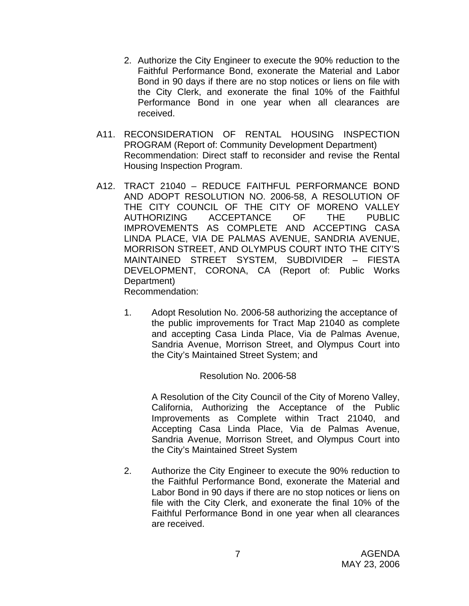- 2. Authorize the City Engineer to execute the 90% reduction to the Faithful Performance Bond, exonerate the Material and Labor Bond in 90 days if there are no stop notices or liens on file with the City Clerk, and exonerate the final 10% of the Faithful Performance Bond in one year when all clearances are received.
- A11. RECONSIDERATION OF RENTAL HOUSING INSPECTION PROGRAM (Report of: Community Development Department) Recommendation: Direct staff to reconsider and revise the Rental Housing Inspection Program.
- A12. TRACT 21040 REDUCE FAITHFUL PERFORMANCE BOND AND ADOPT RESOLUTION NO. 2006-58, A RESOLUTION OF THE CITY COUNCIL OF THE CITY OF MORENO VALLEY AUTHORIZING ACCEPTANCE OF THE PUBLIC IMPROVEMENTS AS COMPLETE AND ACCEPTING CASA LINDA PLACE, VIA DE PALMAS AVENUE, SANDRIA AVENUE, MORRISON STREET, AND OLYMPUS COURT INTO THE CITY'S MAINTAINED STREET SYSTEM, SUBDIVIDER – FIESTA DEVELOPMENT, CORONA, CA (Report of: Public Works Department) Recommendation:

1. Adopt Resolution No. 2006-58 authorizing the acceptance of the public improvements for Tract Map 21040 as complete and accepting Casa Linda Place, Via de Palmas Avenue, Sandria Avenue, Morrison Street, and Olympus Court into the City's Maintained Street System; and

#### Resolution No. 2006-58

A Resolution of the City Council of the City of Moreno Valley, California, Authorizing the Acceptance of the Public Improvements as Complete within Tract 21040, and Accepting Casa Linda Place, Via de Palmas Avenue, Sandria Avenue, Morrison Street, and Olympus Court into the City's Maintained Street System

2. Authorize the City Engineer to execute the 90% reduction to the Faithful Performance Bond, exonerate the Material and Labor Bond in 90 days if there are no stop notices or liens on file with the City Clerk, and exonerate the final 10% of the Faithful Performance Bond in one year when all clearances are received.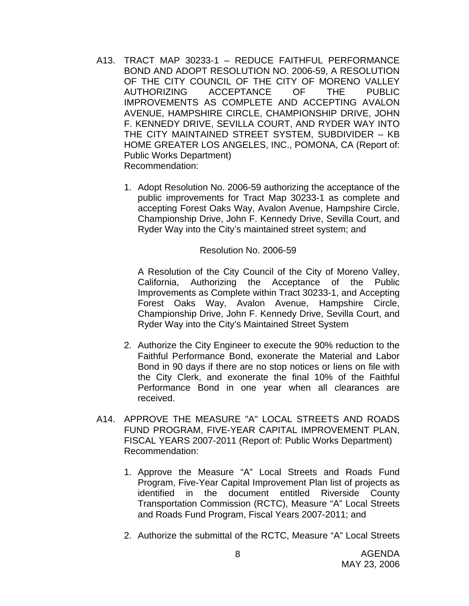- A13. TRACT MAP 30233-1 REDUCE FAITHFUL PERFORMANCE BOND AND ADOPT RESOLUTION NO. 2006-59, A RESOLUTION OF THE CITY COUNCIL OF THE CITY OF MORENO VALLEY AUTHORIZING ACCEPTANCE OF THE PUBLIC IMPROVEMENTS AS COMPLETE AND ACCEPTING AVALON AVENUE, HAMPSHIRE CIRCLE, CHAMPIONSHIP DRIVE, JOHN F. KENNEDY DRIVE, SEVILLA COURT, AND RYDER WAY INTO THE CITY MAINTAINED STREET SYSTEM, SUBDIVIDER – KB HOME GREATER LOS ANGELES, INC., POMONA, CA (Report of: Public Works Department) Recommendation:
	- 1. Adopt Resolution No. 2006-59 authorizing the acceptance of the public improvements for Tract Map 30233-1 as complete and accepting Forest Oaks Way, Avalon Avenue, Hampshire Circle, Championship Drive, John F. Kennedy Drive, Sevilla Court, and Ryder Way into the City's maintained street system; and

#### Resolution No. 2006-59

 A Resolution of the City Council of the City of Moreno Valley, California, Authorizing the Acceptance of the Public Improvements as Complete within Tract 30233-1, and Accepting Forest Oaks Way, Avalon Avenue, Hampshire Circle, Championship Drive, John F. Kennedy Drive, Sevilla Court, and Ryder Way into the City's Maintained Street System

- 2. Authorize the City Engineer to execute the 90% reduction to the Faithful Performance Bond, exonerate the Material and Labor Bond in 90 days if there are no stop notices or liens on file with the City Clerk, and exonerate the final 10% of the Faithful Performance Bond in one year when all clearances are received.
- A14. APPROVE THE MEASURE "A" LOCAL STREETS AND ROADS FUND PROGRAM, FIVE-YEAR CAPITAL IMPROVEMENT PLAN, FISCAL YEARS 2007-2011 (Report of: Public Works Department) Recommendation:
	- 1. Approve the Measure "A" Local Streets and Roads Fund Program, Five-Year Capital Improvement Plan list of projects as identified in the document entitled Riverside County Transportation Commission (RCTC), Measure "A" Local Streets and Roads Fund Program, Fiscal Years 2007-2011; and
	- 2. Authorize the submittal of the RCTC, Measure "A" Local Streets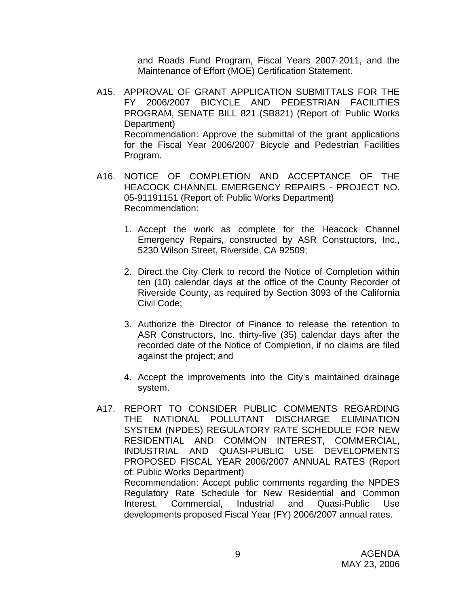and Roads Fund Program, Fiscal Years 2007-2011, and the Maintenance of Effort (MOE) Certification Statement.

- A15. APPROVAL OF GRANT APPLICATION SUBMITTALS FOR THE FY 2006/2007 BICYCLE AND PEDESTRIAN FACILITIES PROGRAM, SENATE BILL 821 (SB821) (Report of: Public Works Department) Recommendation: Approve the submittal of the grant applications for the Fiscal Year 2006/2007 Bicycle and Pedestrian Facilities Program.
- A16. NOTICE OF COMPLETION AND ACCEPTANCE OF THE HEACOCK CHANNEL EMERGENCY REPAIRS - PROJECT NO. 05-91191151 (Report of: Public Works Department) Recommendation:
	- 1. Accept the work as complete for the Heacock Channel Emergency Repairs, constructed by ASR Constructors, Inc., 5230 Wilson Street, Riverside, CA 92509;
	- 2. Direct the City Clerk to record the Notice of Completion within ten (10) calendar days at the office of the County Recorder of Riverside County, as required by Section 3093 of the California Civil Code;
	- 3. Authorize the Director of Finance to release the retention to ASR Constructors, Inc. thirty-five (35) calendar days after the recorded date of the Notice of Completion, if no claims are filed against the project; and
	- 4. Accept the improvements into the City's maintained drainage system.
- A17. REPORT TO CONSIDER PUBLIC COMMENTS REGARDING THE NATIONAL POLLUTANT DISCHARGE ELIMINATION SYSTEM (NPDES) REGULATORY RATE SCHEDULE FOR NEW RESIDENTIAL AND COMMON INTEREST, COMMERCIAL, INDUSTRIAL AND QUASI-PUBLIC USE DEVELOPMENTS PROPOSED FISCAL YEAR 2006/2007 ANNUAL RATES (Report of: Public Works Department) Recommendation: Accept public comments regarding the NPDES Regulatory Rate Schedule for New Residential and Common Interest, Commercial, Industrial and Quasi-Public Use developments proposed Fiscal Year (FY) 2006/2007 annual rates.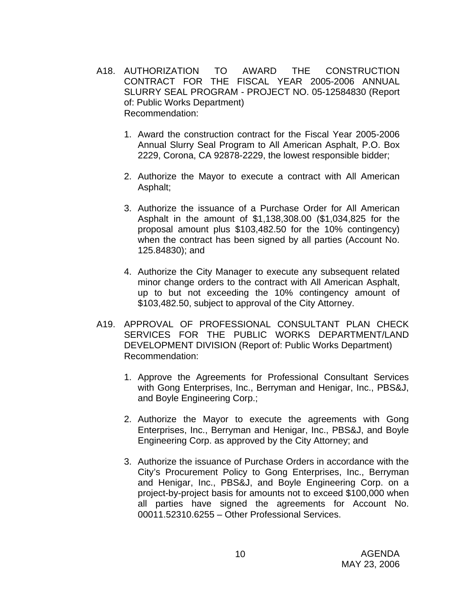- A18. AUTHORIZATION TO AWARD THE CONSTRUCTION CONTRACT FOR THE FISCAL YEAR 2005-2006 ANNUAL SLURRY SEAL PROGRAM - PROJECT NO. 05-12584830 (Report of: Public Works Department) Recommendation:
	- 1. Award the construction contract for the Fiscal Year 2005-2006 Annual Slurry Seal Program to All American Asphalt, P.O. Box 2229, Corona, CA 92878-2229, the lowest responsible bidder;
	- 2. Authorize the Mayor to execute a contract with All American Asphalt;
	- 3. Authorize the issuance of a Purchase Order for All American Asphalt in the amount of \$1,138,308.00 (\$1,034,825 for the proposal amount plus \$103,482.50 for the 10% contingency) when the contract has been signed by all parties (Account No. 125.84830); and
	- 4. Authorize the City Manager to execute any subsequent related minor change orders to the contract with All American Asphalt, up to but not exceeding the 10% contingency amount of \$103,482.50, subject to approval of the City Attorney.
- A19. APPROVAL OF PROFESSIONAL CONSULTANT PLAN CHECK SERVICES FOR THE PUBLIC WORKS DEPARTMENT/LAND DEVELOPMENT DIVISION (Report of: Public Works Department) Recommendation:
	- 1. Approve the Agreements for Professional Consultant Services with Gong Enterprises, Inc., Berryman and Henigar, Inc., PBS&J, and Boyle Engineering Corp.;
	- 2. Authorize the Mayor to execute the agreements with Gong Enterprises, Inc., Berryman and Henigar, Inc., PBS&J, and Boyle Engineering Corp. as approved by the City Attorney; and
	- 3. Authorize the issuance of Purchase Orders in accordance with the City's Procurement Policy to Gong Enterprises, Inc., Berryman and Henigar, Inc., PBS&J, and Boyle Engineering Corp. on a project-by-project basis for amounts not to exceed \$100,000 when all parties have signed the agreements for Account No. 00011.52310.6255 – Other Professional Services.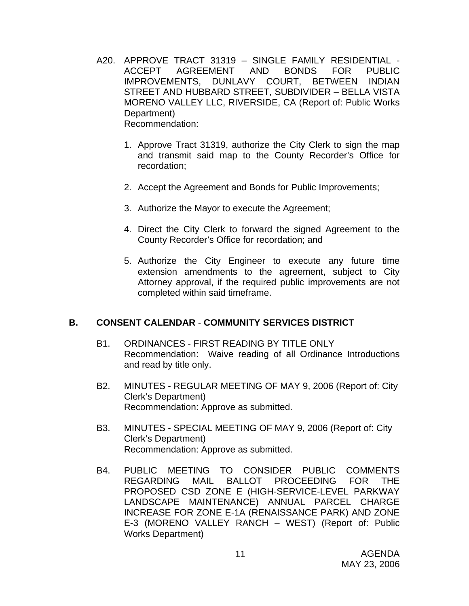- A20. APPROVE TRACT 31319 SINGLE FAMILY RESIDENTIAL ACCEPT AGREEMENT AND BONDS FOR PUBLIC IMPROVEMENTS, DUNLAVY COURT, BETWEEN INDIAN STREET AND HUBBARD STREET, SUBDIVIDER – BELLA VISTA MORENO VALLEY LLC, RIVERSIDE, CA (Report of: Public Works Department) Recommendation:
	- 1. Approve Tract 31319, authorize the City Clerk to sign the map and transmit said map to the County Recorder's Office for recordation;
	- 2. Accept the Agreement and Bonds for Public Improvements;
	- 3. Authorize the Mayor to execute the Agreement;
	- 4. Direct the City Clerk to forward the signed Agreement to the County Recorder's Office for recordation; and
	- 5. Authorize the City Engineer to execute any future time extension amendments to the agreement, subject to City Attorney approval, if the required public improvements are not completed within said timeframe.

#### **B. CONSENT CALENDAR** - **COMMUNITY SERVICES DISTRICT**

- B1. ORDINANCES FIRST READING BY TITLE ONLY Recommendation: Waive reading of all Ordinance Introductions and read by title only.
- B2. MINUTES REGULAR MEETING OF MAY 9, 2006 (Report of: City Clerk's Department) Recommendation: Approve as submitted.
- B3. MINUTES SPECIAL MEETING OF MAY 9, 2006 (Report of: City Clerk's Department) Recommendation: Approve as submitted.
- B4. PUBLIC MEETING TO CONSIDER PUBLIC COMMENTS REGARDING MAIL BALLOT PROCEEDING FOR THE PROPOSED CSD ZONE E (HIGH-SERVICE-LEVEL PARKWAY LANDSCAPE MAINTENANCE) ANNUAL PARCEL CHARGE INCREASE FOR ZONE E-1A (RENAISSANCE PARK) AND ZONE E-3 (MORENO VALLEY RANCH – WEST) (Report of: Public Works Department)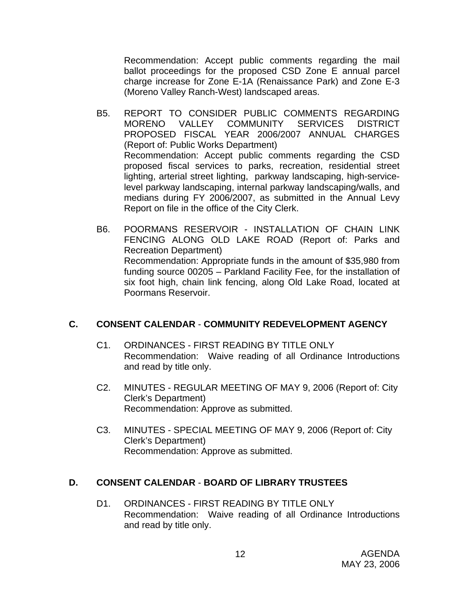Recommendation: Accept public comments regarding the mail ballot proceedings for the proposed CSD Zone E annual parcel charge increase for Zone E-1A (Renaissance Park) and Zone E-3 (Moreno Valley Ranch-West) landscaped areas.

- B5. REPORT TO CONSIDER PUBLIC COMMENTS REGARDING MORENO VALLEY COMMUNITY SERVICES DISTRICT PROPOSED FISCAL YEAR 2006/2007 ANNUAL CHARGES (Report of: Public Works Department) Recommendation: Accept public comments regarding the CSD proposed fiscal services to parks, recreation, residential street lighting, arterial street lighting, parkway landscaping, high-servicelevel parkway landscaping, internal parkway landscaping/walls, and medians during FY 2006/2007, as submitted in the Annual Levy Report on file in the office of the City Clerk.
- B6. POORMANS RESERVOIR INSTALLATION OF CHAIN LINK FENCING ALONG OLD LAKE ROAD (Report of: Parks and Recreation Department) Recommendation: Appropriate funds in the amount of \$35,980 from funding source 00205 – Parkland Facility Fee, for the installation of six foot high, chain link fencing, along Old Lake Road, located at Poormans Reservoir.

### **C. CONSENT CALENDAR** - **COMMUNITY REDEVELOPMENT AGENCY**

- C1. ORDINANCES FIRST READING BY TITLE ONLY Recommendation: Waive reading of all Ordinance Introductions and read by title only.
- C2. MINUTES REGULAR MEETING OF MAY 9, 2006 (Report of: City Clerk's Department) Recommendation: Approve as submitted.
- C3. MINUTES SPECIAL MEETING OF MAY 9, 2006 (Report of: City Clerk's Department) Recommendation: Approve as submitted.

### **D. CONSENT CALENDAR** - **BOARD OF LIBRARY TRUSTEES**

D1. ORDINANCES - FIRST READING BY TITLE ONLY Recommendation: Waive reading of all Ordinance Introductions and read by title only.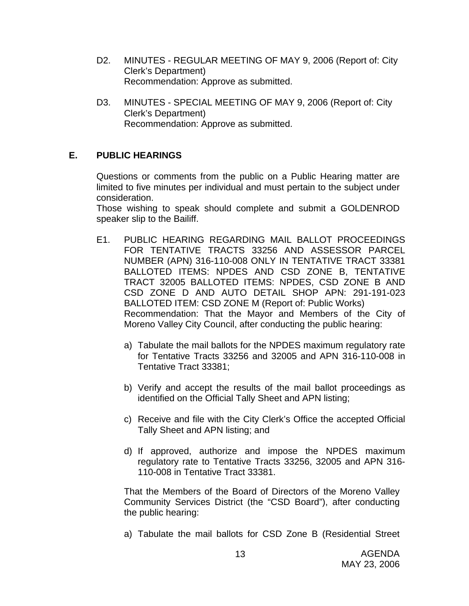- D2. MINUTES REGULAR MEETING OF MAY 9, 2006 (Report of: City Clerk's Department) Recommendation: Approve as submitted.
- D3. MINUTES SPECIAL MEETING OF MAY 9, 2006 (Report of: City Clerk's Department) Recommendation: Approve as submitted.

### **E. PUBLIC HEARINGS**

Questions or comments from the public on a Public Hearing matter are limited to five minutes per individual and must pertain to the subject under consideration.

 Those wishing to speak should complete and submit a GOLDENROD speaker slip to the Bailiff.

- E1. PUBLIC HEARING REGARDING MAIL BALLOT PROCEEDINGS FOR TENTATIVE TRACTS 33256 AND ASSESSOR PARCEL NUMBER (APN) 316-110-008 ONLY IN TENTATIVE TRACT 33381 BALLOTED ITEMS: NPDES AND CSD ZONE B, TENTATIVE TRACT 32005 BALLOTED ITEMS: NPDES, CSD ZONE B AND CSD ZONE D AND AUTO DETAIL SHOP APN: 291-191-023 BALLOTED ITEM: CSD ZONE M (Report of: Public Works) Recommendation: That the Mayor and Members of the City of Moreno Valley City Council, after conducting the public hearing:
	- a) Tabulate the mail ballots for the NPDES maximum regulatory rate for Tentative Tracts 33256 and 32005 and APN 316-110-008 in Tentative Tract 33381;
	- b) Verify and accept the results of the mail ballot proceedings as identified on the Official Tally Sheet and APN listing;
	- c) Receive and file with the City Clerk's Office the accepted Official Tally Sheet and APN listing; and
	- d) If approved, authorize and impose the NPDES maximum regulatory rate to Tentative Tracts 33256, 32005 and APN 316- 110-008 in Tentative Tract 33381.

 That the Members of the Board of Directors of the Moreno Valley Community Services District (the "CSD Board"), after conducting the public hearing:

a) Tabulate the mail ballots for CSD Zone B (Residential Street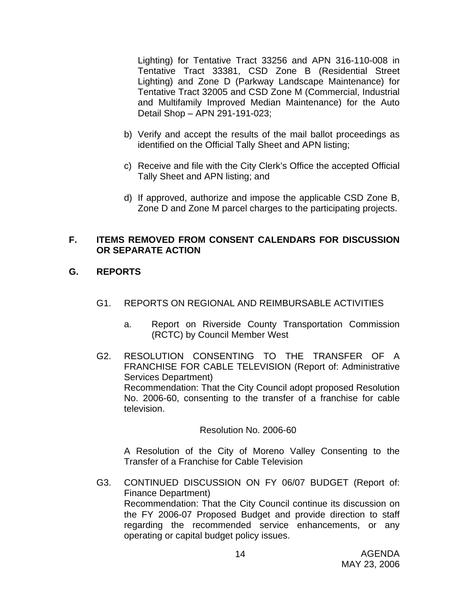Lighting) for Tentative Tract 33256 and APN 316-110-008 in Tentative Tract 33381, CSD Zone B (Residential Street Lighting) and Zone D (Parkway Landscape Maintenance) for Tentative Tract 32005 and CSD Zone M (Commercial, Industrial and Multifamily Improved Median Maintenance) for the Auto Detail Shop – APN 291-191-023;

- b) Verify and accept the results of the mail ballot proceedings as identified on the Official Tally Sheet and APN listing;
- c) Receive and file with the City Clerk's Office the accepted Official Tally Sheet and APN listing; and
- d) If approved, authorize and impose the applicable CSD Zone B, Zone D and Zone M parcel charges to the participating projects.

### **F. ITEMS REMOVED FROM CONSENT CALENDARS FOR DISCUSSION OR SEPARATE ACTION**

## **G. REPORTS**

- G1. REPORTS ON REGIONAL AND REIMBURSABLE ACTIVITIES
	- a. Report on Riverside County Transportation Commission (RCTC) by Council Member West
- G2. RESOLUTION CONSENTING TO THE TRANSFER OF A FRANCHISE FOR CABLE TELEVISION (Report of: Administrative Services Department) Recommendation: That the City Council adopt proposed Resolution No. 2006-60, consenting to the transfer of a franchise for cable television.

#### Resolution No. 2006-60

A Resolution of the City of Moreno Valley Consenting to the Transfer of a Franchise for Cable Television

G3. CONTINUED DISCUSSION ON FY 06/07 BUDGET (Report of: Finance Department) Recommendation: That the City Council continue its discussion on the FY 2006-07 Proposed Budget and provide direction to staff regarding the recommended service enhancements, or any operating or capital budget policy issues.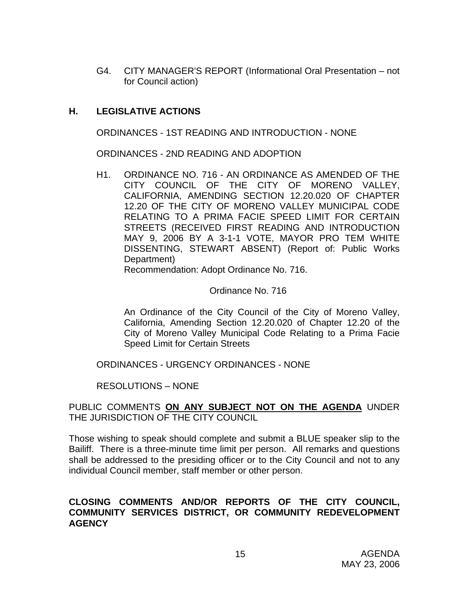G4. CITY MANAGER'S REPORT (Informational Oral Presentation – not for Council action)

### **H. LEGISLATIVE ACTIONS**

ORDINANCES - 1ST READING AND INTRODUCTION - NONE

ORDINANCES - 2ND READING AND ADOPTION

H1. ORDINANCE NO. 716 - AN ORDINANCE AS AMENDED OF THE CITY COUNCIL OF THE CITY OF MORENO VALLEY, CALIFORNIA, AMENDING SECTION 12.20.020 OF CHAPTER 12.20 OF THE CITY OF MORENO VALLEY MUNICIPAL CODE RELATING TO A PRIMA FACIE SPEED LIMIT FOR CERTAIN STREETS (RECEIVED FIRST READING AND INTRODUCTION MAY 9, 2006 BY A 3-1-1 VOTE, MAYOR PRO TEM WHITE DISSENTING, STEWART ABSENT) (Report of: Public Works Department)

Recommendation: Adopt Ordinance No. 716.

#### Ordinance No. 716

An Ordinance of the City Council of the City of Moreno Valley, California, Amending Section 12.20.020 of Chapter 12.20 of the City of Moreno Valley Municipal Code Relating to a Prima Facie Speed Limit for Certain Streets

ORDINANCES - URGENCY ORDINANCES - NONE

RESOLUTIONS – NONE

#### PUBLIC COMMENTS **ON ANY SUBJECT NOT ON THE AGENDA** UNDER THE JURISDICTION OF THE CITY COUNCIL

Those wishing to speak should complete and submit a BLUE speaker slip to the Bailiff. There is a three-minute time limit per person. All remarks and questions shall be addressed to the presiding officer or to the City Council and not to any individual Council member, staff member or other person.

#### **CLOSING COMMENTS AND/OR REPORTS OF THE CITY COUNCIL, COMMUNITY SERVICES DISTRICT, OR COMMUNITY REDEVELOPMENT AGENCY**